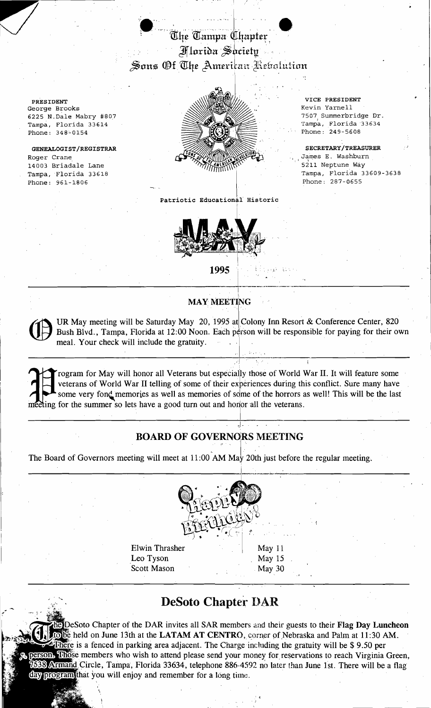## $\bullet$  . The set of  $\bullet$   $\bullet$ The Tampa ([ $\beta$ apter $\gamma$ I lorida *S*ociety  $\mathcal S$ ons Of The American Rebolution

'6"

George Brooks Phone: 348-0154

Roger Crane GENEALOGIST/REGISTRAR 14003 Briadale Lane Phone: 961-1806 Tampa, Florida 33618



SECRETARY/TREASURER James E. Washburn<br>5211 Neptune Way Tampa, Florida 33609-3638 Phone: 287-0655

Patriotic Educational Historic



1995 <sup>'</sup> ' i ' ' ' <sub>' ' '</sub> ' ' ' ' ' -l.. .:\_\_:\_. \_ I

## MAY MEETING

UR May meeting will be Saturday May 20, 1995 at Colony Inn Resort & Conference Center, 820 *Bush Blvd.*, Tampa, Florida at 12:00 Noon. Each person will be responsible for paying for their own meal. Your check will include the gratuity.

, original  $\mathcal{A}$  , or  $\mathcal{B}$ 

,I·

I rogram for May will honor all Veterans but especially those of World War II. It will feature some veterans of World War II telling of some of their experiences during this conflict. Sure many have some very fond memories veterans of World War II telling of some of their experiences during this conflict. Sure many have some very fond memories as well as memories of some of the horrors as well! This will be the last meeting for the summer so lets have a good turn out and honor all the veterans. Frogram for May will honor all Veterans but especially those of World War II. It will feature some veterans of World War II telling of some of their experiences during this conflict. Sure many have some very fond memories

## BOARD OF GOVERNORS MEETING

The Board of Governors meeting will meet at 11:00 AM May 20th just before the regular meeting.



Elwin Thrasher . .' .' ',i. '[ " May <sup>11</sup> Leo Tyson May 15 Scott Mason , May 30

## **DeSoto Chaptei"** I)AR

DeSoto Chapter of the DAR invites all SAR members and their guests to their Flag Day Luncheon to be held on June 13th at the LATAM AT CENTRO, corner of Nebraska and Palm at 11:30 AM. **Ethere** is a fenced in parking area adjacent. The Charge including the gratuity will be \$9.50 per person. Those members who wish to attend please send your money for reservations to reach Virginia Green, 38 Armand Circle, Tampa, Florida 33634, telephone 886-4592 no later than June 1st. There will be a flag day program that you will enjoy and remember for a long time. ,<br>,<br>, .<br>, .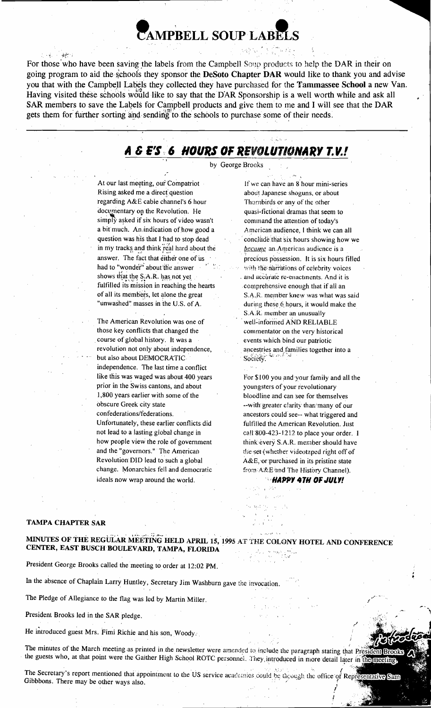## ~AMPBELL **SOUPLABttS**

 $\cdot$   $\frac{d}{2}$  . For those who have been saving the labels from the Campbell Soup products to help the DAR in their on going program to aid the schools they sponsor the DeSoto Chapter DAR would like to thank you and advise you that with the Campbell Labels they collected they have purchased for the Tammassee School a new Van. Having visited these schools would like to say that the DAR Sponsorship is a well worth while and ask all SAR members to save the Labels for Campbell products and give them to me and I will see that the DAR gets them for further sorting and sending to the schools to purchase some of their needs.

## A **& E' S:6 HOURS OF REVOLUTIONARY 1.***V.!*

by George Brooks

," At our last meeting, our Compatriot If we can have an 8 hour mini-series Rising asked me a direct question about Japanese shoguns, or about regarding A&E cable channel's 6 hour Thornbirds or any of the other documentary on the Revolution. He quasi-fictional dramas that seem to simply asked if six hours of video wasn't command the attention of today's a bit much. An indication of how good a American audience, I think we can all in niy tracks, and think ~r~kl hard about the *&JdJJ1J.f.* an, American audience is a . .." , .." -' had to "wonder" about the answer  $\frac{1}{2}$ . with the narrations of celebrity voices shows that the S.A.R. has not yet fulfilled its mission in reaching the hearts

those key conflicts that changed the commentator on the very historical .course of global history. It was a events which bind our patriotic revolution not only about independence, ancestries and families together into a but also about DEMOCRATIC Society. but also about DEMOCRATICindependence. The last time a conflict like this was waged was about 400 years For \$100 you and your family and all the prior in the Swiss cantons, and about youngsters of your revolutionary<br>1,800 years earlier with some of the bloodline and can see for themse 1,800 years earlier with some of the bloodline and can see for themselves<br>obscure Greek city state elastic state of the settlement of our obscure Greek city state --with greater clarity than many of our<br>confederations/federations. Unfortunately, these earlier conflicts did fulfilled the American Revolution. Just not lead to a lasting global change in call 800-423-1212 to place your order. I how people view the role of government think every S.A.R. member should have and the "governors." The American the set (whether videotaped right off of Revolution DID lead to such a global  $A \& E$ , or purchased in its pristine state change. Monarchies fell and democratic from A&E'and The History Channel). ideals now wrap around the world. **The same of the Second VI of TH OF JULY!** 

question was his that I had to stop dead conclude that six hours showing how we answer. The fact that either one of us precious possession. It is six hours filled<br>had to "wonder" about the answer  $\frac{1}{2}$  with the narrations of celebrity voices and accurate re-enactments. And it is comprehensive enough that if all an of all its members, let alone the great S.A.R. member knew was what was said<br>"unwashed" masses in the U.S. of A. during these 6 hours, it would make the during these 6 hours, it would make the S.A.R, member an unusually The American Revolution was one of well-informed AND RELIABLE

ancestors could see-- what triggered and

 $;$  :::::::

"" 'j;.; .

### TAMPA CHAPTER SAR

.. MINUTES OF THÉ REGULAR MÉETING HELD APRIL 15, 1995 AT THE COLONY HOTEL AND CONFERENCE<br>CENTER, EAST BUSCH BOULEVARD, TAMPA, FLORIDA

President George Brooks called the meeting to order at 12:02 PM.

In the absence of Chaplain Larry Huntley, Secretary Jim Washburn gave the invocation.

The Pledge of Allegiance to the flag was led by Martin Miller.

President Brooks led in the SAR pledge.

He introduced guest Mrs. Fimi Richie and his son, Woody.

The minutes of the March meeting as printed in the newsletter were amended to include the paragraph stating that Pre the guests who, at that point were the Gaither High School ROTC personnel. They introduced in more detail later in them

The Secretary's report mentioned that appointment to the US service academies could be the office of  $\text{Rep}_R^+$ Gibbbons. There may be other ways also.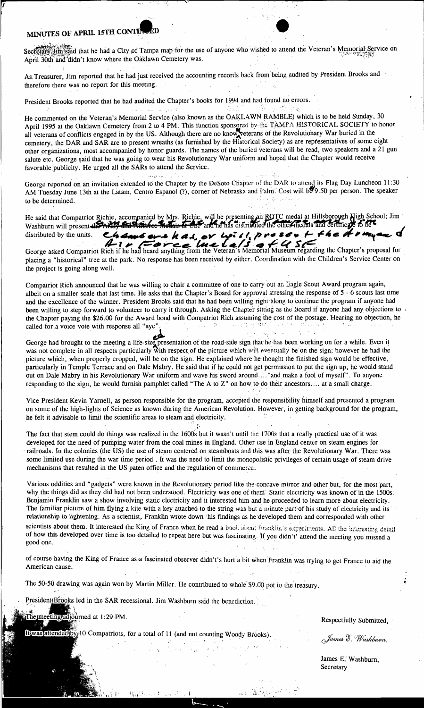## **MINUTES OF APRIL 15TH CONTI**

 $\begin{bmatrix} 1 \\ 1 \end{bmatrix}$ 

Sectetary Jim said that he had a City of Tampa map for the use of anyone who wished to attend the Veteran's Memorial Service on April 30th and didn't know where the Oaklawn Cemetery was.

As, Treasurer, Jim reported that he had just received the accounting records back from being audited by President Brooks and therefore there was no report for this meeting.

 $\mathcal{L}_1$ 

President Brooks reported that he had audited the Chapter's books for 1994 and had found no errors.

He commented on the Veteran's Memorial Service (also known as the OAKLAWN RAMBLE) which is to be held Sunday, 30 April 1995 at the Oaklawn Cemetery from 2 to 4 PM. This function sponsored by the TAMFA HISTORICAL SOCIETY to honor all veterans of conflicts engaged in by the US. Although there are noknow~eterans of the Revolutionary War buried in the cemetery, the DAR and SAR are to present wreaths (as furnished by the Historical Society) as are representatives of some eight other organizations, most accompanied by honor guards. The names of the buried veterans will be read, two speakers and a 21 gun salute etc. George said that he was going to wear his Revolutionary War uniform and hoped that the Chapter would receive favorable publicity. He urged all the SARs to attend the Service.

; ..... George reported on an invitation extended to the Chapter by the DeSoto Chapter of the DAR to attend its Flag Day Luncheon 11:30 AM Tuesday June 13th at the Latam, Centro Espanol (?), corner of Nebraska and Palm. Cost will be 9.50 per person. The speaker to be determined.

He said that Compatriot Richie, accompanied by Mrs. Richie, will be presenting an ROTC medal at Hillsborough High School; Jim ... washburn will present the AMP and State fee It died is the OSF and he has distributed the other medals and certificate to be a Washburn will present the ANY and Altitude Medials in OST and he has distributed the other inedials and certificate to be<sup>re</sup><br>distributed by the units. Channel and the A, or the 11, preser + f4e a range of

George asked Compatriot Rich if he had heard anything from the Veteran's Memorial Museum regarding the Chapter's proposal for placing a "historical" tree at the park. No response has been received by either. Coordination with the Children's Service Center on the project is going along well.

Compatriot Rich announced that he was willing to chair a committee of one to carry out an Eagle Scout Award program again, albeit on a smaller scale that last time. He asks that the Chapter's Board for approval stressing the response of 5 - 6 scouts last time and the excellence of the winner. President Brooks said that he had been willing right along to continue the program if anyone had been willing to step forward to volunteer to carry it through. Asking the Chapter sitting as the Board if anyone had any objections to the Chapter paying the \$26.00 for the Award bond with Compatriot Rich assuming the cost of the postage. Hearing no objection, he called for a voice vote with response all "aye".

George had brought to the meeting a life-size presentation of the road-side sign that he has been working on for a while. Even it was not complete in all respects particularly with respect of the picture which will eventually be on the sign; however he had the picture which, when properly cropped, will be on the sign. He explained where he thought the finished sign would be effective, particularly in Temple Terrace and on Dale Mabry. He said that if he could not get permission to put the sign up, he would stand out on Dale Mabry in his Revolutionary War uniform and wave his sword around.... "and make a fool of myself". To anyone responding to the sign, he would furnish pamphlet called "The A to Z" on how to do their ancestors.... at a small charge.

Vice President Kevin Yarnell, as person responsible for the program, accepted the responsibility himself and presented a program on some of the high-lights of Science as known during the American Revolution. However, in getting background for the program, he felt it advisable to limit the scientific areas to steam and electricity.

The fact that stem could do things was realized in the 1600s but it wasn't until the 1700s that a really practical use of it was developed for the need of pumping water from the coal mines in England. Other use in England center on steam engines for railroads. In the colonies (the US) the use of steam centered on steamboats and this was after the Revolutionary War. There was some limited use during the war time period . It was the need to limit the monopolistic privileges of certain usage of steam-drive mechanisms that resulted in the US paten office and the regulation of commerce,

Various oddities and "gadgets" were known in the Revolutionary period like the concave mirror and other but, for the most part, why the things did as they did had not been understood. Electricity was one of them. Static electricity was known of in the 1500s. Benjamin Franklin saw a show involving static electricity and it interested him and he proceeded to learn more about electricity. The familiar picture of him flying a kite with a key attached to the string was but a minute part-of his study of electricity and its relationship to lightening. As a scientist, Franklin wrote down his fmdings as he developed them and corresponded with other scientists about them. It interested the King of France when he read a book about Franklin's experiments. All the interesting detail of how this developed over time is too detailed to repeat here but was fascinating. If yo scientists about them. It interested the King of France when he read a book about Franklin's experiments. All the interesting detail of how this developed over time is too detailed to repeat here but was fascinating. If yo

of course having the King of France as a fascinated observer didn't's hurt a bit when Franklin was trying to get France to aid the American cause.

The 50-50 drawing was again won by Martin Miller. He contributed to whole \$9.00 pot to the treasury.

President Brooks led in the SAR recessional. Jim Washburn said the benediction.

he meeting adjourned at 1:29 PM.

It was attended by 10 Compatriots, for a total of 11 (and not counting Woody Brooks).

Respectfully Submitted,

James E. Washburn,

James E. Washburn, **Secretary**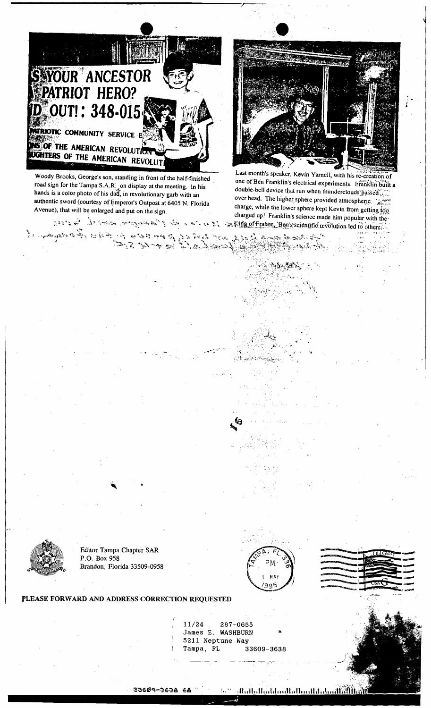

Woody Brooks, George's son, standing in front of the half-finished road sign for the Tampa S.A.R. on display at the meeting. In his hands is a color photo of his dad, in revolutionary garb with an authentic sword (courtesy of Emperor's Outpost at 6405 N. Florida Avenue), that will be enlarged and put on the sign.



Last month's speaker, Kevin Yarnell, with his re-creation of one of Ben Franklin's electrical experiments. Franklin built a double-bell device that run when thunderclouds:passed over head. The higher sphere provided atmospheric, ... charge, while the lower sphere kept Kevin from getting  $\log$  $\cdot$ ...  $\cdot$ ...  $\cdot$  if  $\cdot$  is  $\cdot$ ...  $\cdot$  is  $\cdot$ ...  $\cdot$  is  $\cdot$ ...  $\cdot$  if  $\cdot$  if  $\cdot$  of  $\cdot$  others... charged up! Franklin's science made him popular with the'

 $\mathbb{R}^{n \times n}$  , ,

 $\frac{1}{2}$ ,  $\frac{1}{2}$ ,  $\frac{1}{2}$ ,  $\frac{1}{2}$ ,  $\frac{1}{2}$ ,  $\frac{1}{2}$ ,  $\frac{1}{2}$ ,  $\frac{1}{2}$ ,  $\frac{1}{2}$ ,  $\frac{1}{2}$ ,  $\frac{1}{2}$ ,  $\frac{1}{2}$ ,  $\frac{1}{2}$ ,  $\frac{1}{2}$ ,  $\frac{1}{2}$ ,  $\frac{1}{2}$ ,  $\frac{1}{2}$ ,  $\frac{1}{2}$ ,  $\frac{1}{2}$ ,  $\frac{1}{2}$ ,

.'., "'  $\mathcal{A}_{\mathcal{G}_\mathcal{P}}$  .

 $\mathcal{F}^{\mathcal{F}}_{\mathcal{F}}$ 



'I.  $^{\circ}$   $^{\prime}$ 

Editor Tampa Chapter SAR<br>P.O. Box 958





# FLEASE FORWARD AND ADDRESS CORRECTION REQUESTED

11/24 287-0655 James E. WASHBURN 5211 Neptune Way Tampa, FL 33609-3638

" "